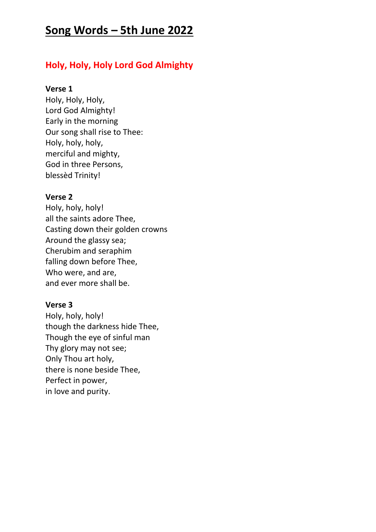# **Song Words – 5th June 2022**

## **Holy, Holy, Holy Lord God Almighty**

## **Verse 1**

Holy, Holy, Holy, Lord God Almighty! Early in the morning Our song shall rise to Thee: Holy, holy, holy, merciful and mighty, God in three Persons, blessèd Trinity!

## **Verse 2**

Holy, holy, holy! all the saints adore Thee, Casting down their golden crowns Around the glassy sea; Cherubim and seraphim falling down before Thee, Who were, and are, and ever more shall be.

## **Verse 3**

Holy, holy, holy! though the darkness hide Thee, Though the eye of sinful man Thy glory may not see; Only Thou art holy, there is none beside Thee, Perfect in power, in love and purity.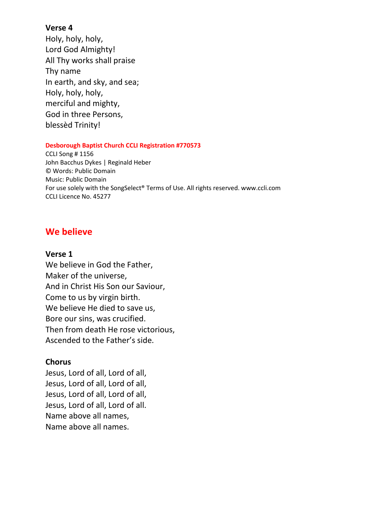## **Verse 4**

Holy, holy, holy, Lord God Almighty! All Thy works shall praise Thy name In earth, and sky, and sea; Holy, holy, holy, merciful and mighty, God in three Persons, blessèd Trinity!

### **Desborough Baptist Church CCLI Registration #770573**

CCLI Song # 1156 John Bacchus Dykes | Reginald Heber © Words: Public Domain Music: Public Domain For use solely with the SongSelect® Terms of Use. All rights reserved. www.ccli.com CCLI Licence No. 45277

## **We believe**

### **Verse 1**

We believe in God the Father, Maker of the universe, And in Christ His Son our Saviour, Come to us by virgin birth. We believe He died to save us, Bore our sins, was crucified. Then from death He rose victorious, Ascended to the Father's side.

## **Chorus**

Jesus, Lord of all, Lord of all, Jesus, Lord of all, Lord of all, Jesus, Lord of all, Lord of all, Jesus, Lord of all, Lord of all. Name above all names, Name above all names.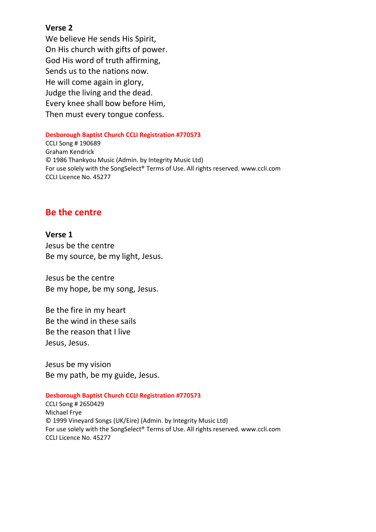### **Verse 2**

We believe He sends His Spirit, On His church with gifts of power. God His word of truth affirming, Sends us to the nations now. He will come again in glory, Judge the living and the dead. Every knee shall bow before Him, Then must every tongue confess.

#### **Desborough Baptist Church CCLI Registration #770573**

CCLI Song # 190689 Graham Kendrick © 1986 Thankyou Music (Admin. by Integrity Music Ltd) For use solely with the SongSelect® Terms of Use. All rights reserved. www.ccli.com CCLI Licence No. 45277

## **Be the centre**

**Verse 1**  Jesus be the centre Be my source, be my light, Jesus.

Jesus be the centre Be my hope, be my song, Jesus.

Be the fire in my heart Be the wind in these sails Be the reason that I live Jesus, Jesus.

Jesus be my vision Be my path, be my guide, Jesus.

### **Desborough Baptist Church CCLI Registration #770573**

CCLI Song # 2650429 Michael Frye © 1999 Vineyard Songs (UK/Eire) (Admin. by Integrity Music Ltd) For use solely with the SongSelect® Terms of Use. All rights reserved. www.ccli.com CCLI Licence No. 45277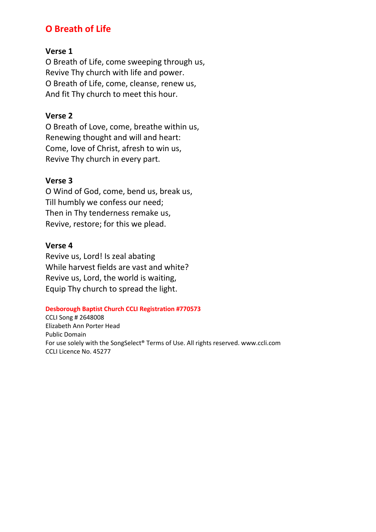## **O Breath of Life**

## **Verse 1**

O Breath of Life, come sweeping through us, Revive Thy church with life and power. O Breath of Life, come, cleanse, renew us, And fit Thy church to meet this hour.

## **Verse 2**

O Breath of Love, come, breathe within us, Renewing thought and will and heart: Come, love of Christ, afresh to win us, Revive Thy church in every part.

## **Verse 3**

O Wind of God, come, bend us, break us, Till humbly we confess our need; Then in Thy tenderness remake us, Revive, restore; for this we plead.

## **Verse 4**

Revive us, Lord! Is zeal abating While harvest fields are vast and white? Revive us, Lord, the world is waiting, Equip Thy church to spread the light.

### **Desborough Baptist Church CCLI Registration #770573**

CCLI Song # 2648008 Elizabeth Ann Porter Head Public Domain For use solely with the SongSelect® Terms of Use. All rights reserved. www.ccli.com CCLI Licence No. 45277